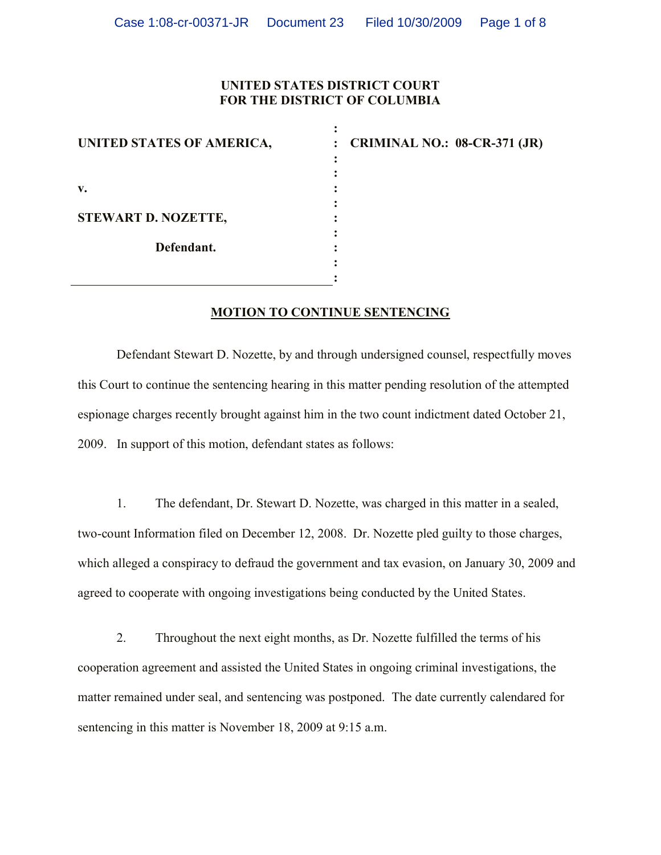## **UNITED STATES DISTRICT COURT FOR THE DISTRICT OF COLUMBIA**

**:**

| UNITED STATES OF AMERICA,                | ٠<br>: CRIMINAL NO.: 08-CR-371 (JR) |
|------------------------------------------|-------------------------------------|
|                                          |                                     |
| v.                                       |                                     |
| <b>STEWART D. NOZETTE,</b><br>Defendant. |                                     |
|                                          |                                     |
|                                          |                                     |
|                                          |                                     |

## **MOTION TO CONTINUE SENTENCING**

Defendant Stewart D. Nozette, by and through undersigned counsel, respectfully moves this Court to continue the sentencing hearing in this matter pending resolution of the attempted espionage charges recently brought against him in the two count indictment dated October 21, 2009. In support of this motion, defendant states as follows:

1. The defendant, Dr. Stewart D. Nozette, was charged in this matter in a sealed, two-count Information filed on December 12, 2008. Dr. Nozette pled guilty to those charges, which alleged a conspiracy to defraud the government and tax evasion, on January 30, 2009 and agreed to cooperate with ongoing investigations being conducted by the United States.

2. Throughout the next eight months, as Dr. Nozette fulfilled the terms of his cooperation agreement and assisted the United States in ongoing criminal investigations, the matter remained under seal, and sentencing was postponed. The date currently calendared for sentencing in this matter is November 18, 2009 at 9:15 a.m.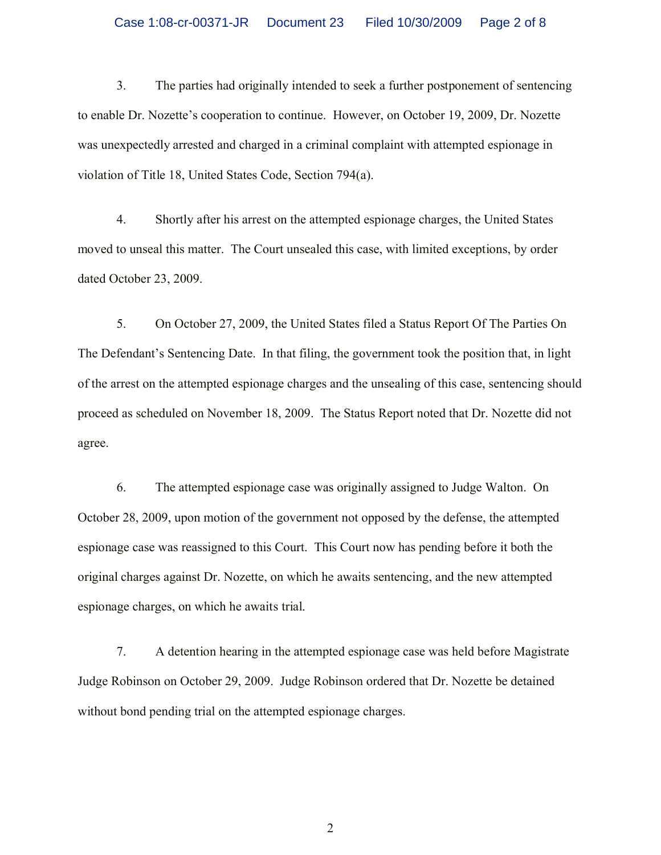3. The parties had originally intended to seek a further postponement of sentencing to enable Dr. Nozette's cooperation to continue. However, on October 19, 2009, Dr. Nozette was unexpectedly arrested and charged in a criminal complaint with attempted espionage in violation of Title 18, United States Code, Section 794(a).

4. Shortly after his arrest on the attempted espionage charges, the United States moved to unseal this matter. The Court unsealed this case, with limited exceptions, by order dated October 23, 2009.

5. On October 27, 2009, the United States filed a Status Report Of The Parties On The Defendant's Sentencing Date. In that filing, the government took the position that, in light of the arrest on the attempted espionage charges and the unsealing of this case, sentencing should proceed as scheduled on November 18, 2009. The Status Report noted that Dr. Nozette did not agree.

6. The attempted espionage case was originally assigned to Judge Walton. On October 28, 2009, upon motion of the government not opposed by the defense, the attempted espionage case was reassigned to this Court. This Court now has pending before it both the original charges against Dr. Nozette, on which he awaits sentencing, and the new attempted espionage charges, on which he awaits trial.

7. A detention hearing in the attempted espionage case was held before Magistrate Judge Robinson on October 29, 2009. Judge Robinson ordered that Dr. Nozette be detained without bond pending trial on the attempted espionage charges.

2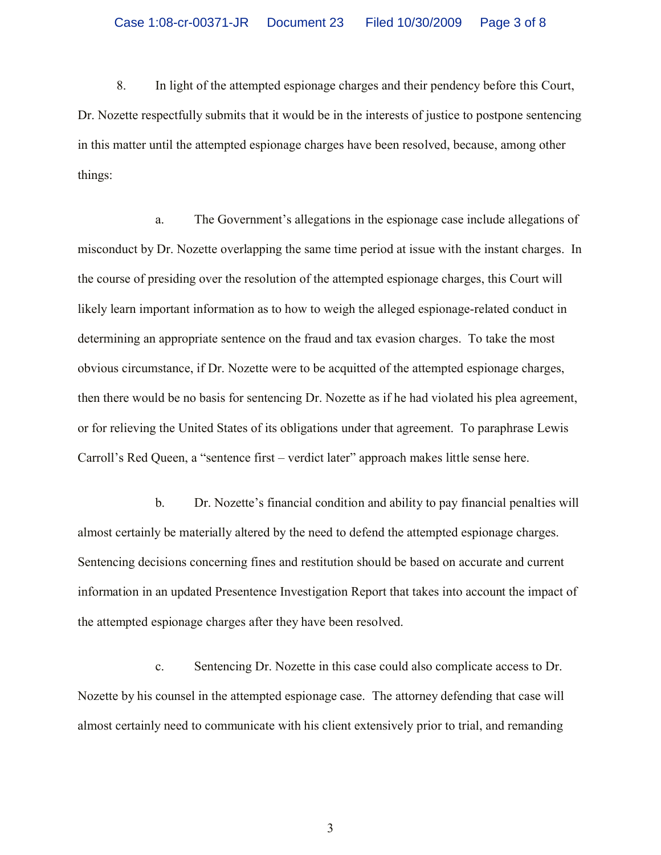8. In light of the attempted espionage charges and their pendency before this Court, Dr. Nozette respectfully submits that it would be in the interests of justice to postpone sentencing in this matter until the attempted espionage charges have been resolved, because, among other things:

a. The Government's allegations in the espionage case include allegations of misconduct by Dr. Nozette overlapping the same time period at issue with the instant charges. In the course of presiding over the resolution of the attempted espionage charges, this Court will likely learn important information as to how to weigh the alleged espionage-related conduct in determining an appropriate sentence on the fraud and tax evasion charges. To take the most obvious circumstance, if Dr. Nozette were to be acquitted of the attempted espionage charges, then there would be no basis for sentencing Dr. Nozette as if he had violated his plea agreement, or for relieving the United States of its obligations under that agreement. To paraphrase Lewis Carroll's Red Queen, a "sentence first – verdict later" approach makes little sense here.

b. Dr. Nozette's financial condition and ability to pay financial penalties will almost certainly be materially altered by the need to defend the attempted espionage charges. Sentencing decisions concerning fines and restitution should be based on accurate and current information in an updated Presentence Investigation Report that takes into account the impact of the attempted espionage charges after they have been resolved.

c. Sentencing Dr. Nozette in this case could also complicate access to Dr. Nozette by his counsel in the attempted espionage case. The attorney defending that case will almost certainly need to communicate with his client extensively prior to trial, and remanding

3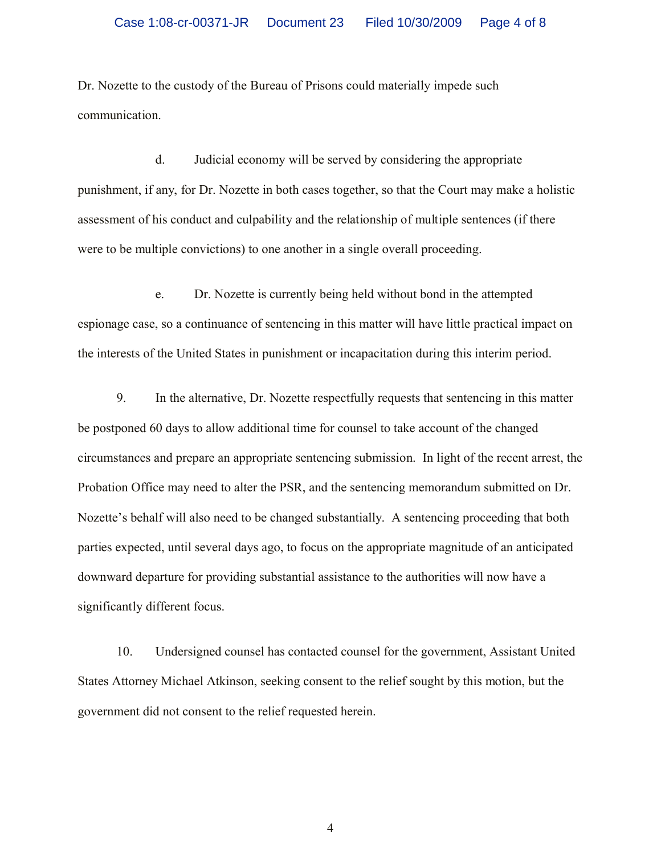Dr. Nozette to the custody of the Bureau of Prisons could materially impede such communication.

d. Judicial economy will be served by considering the appropriate punishment, if any, for Dr. Nozette in both cases together, so that the Court may make a holistic assessment of his conduct and culpability and the relationship of multiple sentences (if there were to be multiple convictions) to one another in a single overall proceeding.

e. Dr. Nozette is currently being held without bond in the attempted espionage case, so a continuance of sentencing in this matter will have little practical impact on the interests of the United States in punishment or incapacitation during this interim period.

9. In the alternative, Dr. Nozette respectfully requests that sentencing in this matter be postponed 60 days to allow additional time for counsel to take account of the changed circumstances and prepare an appropriate sentencing submission. In light of the recent arrest, the Probation Office may need to alter the PSR, and the sentencing memorandum submitted on Dr. Nozette's behalf will also need to be changed substantially. A sentencing proceeding that both parties expected, until several days ago, to focus on the appropriate magnitude of an anticipated downward departure for providing substantial assistance to the authorities will now have a significantly different focus.

10. Undersigned counsel has contacted counsel for the government, Assistant United States Attorney Michael Atkinson, seeking consent to the relief sought by this motion, but the government did not consent to the relief requested herein.

4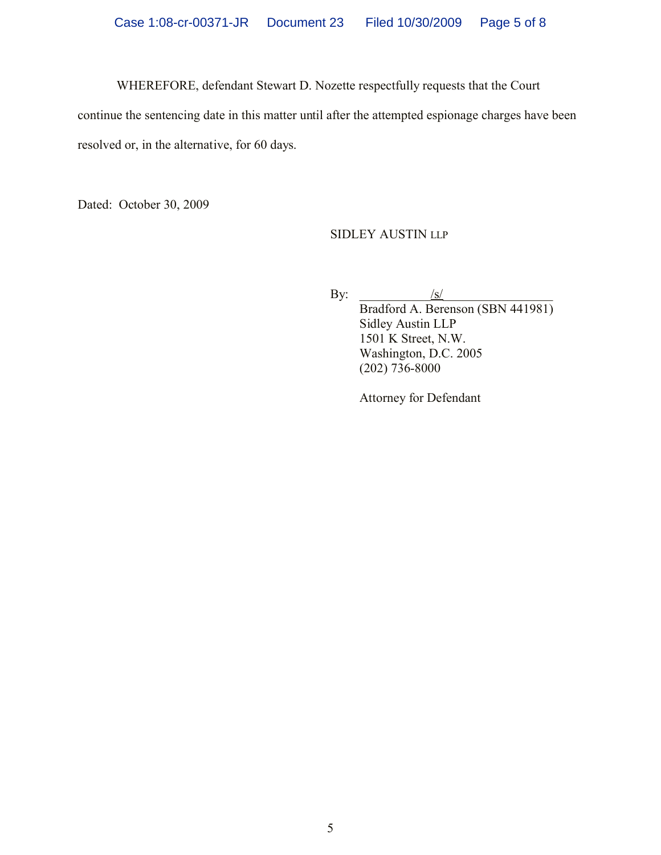WHEREFORE, defendant Stewart D. Nozette respectfully requests that the Court

continue the sentencing date in this matter until after the attempted espionage charges have been resolved or, in the alternative, for 60 days.

Dated: October 30, 2009

SIDLEY AUSTIN LLP

By:  $\qquad \qquad \underline{\qquad \qquad \underline{\qquad \qquad \underline{\qquad \qquad \underline{\qquad \qquad \underline{\qquad \qquad \underline{\qquad \qquad \underline{\qquad \qquad \underline{\qquad \qquad \underline{\qquad \qquad \underline{\qquad \qquad \underline{\qquad \qquad \underline{\qquad \qquad \underline{\qquad \qquad \underline{\qquad \qquad \underline{\qquad \qquad \underline{\qquad \qquad \underline{\qquad \qquad \underline{\qquad \qquad \underline{\qquad \qquad \underline{\qquad \qquad \underline{\qquad \qquad \underline{\qquad \qquad \underline{\qquad \qquad \underline{\qquad \qquad \underline{\qquad \qquad \underline{\qquad \qquad \underline$ Bradford A. Berenson (SBN 441981) Sidley Austin LLP 1501 K Street, N.W. Washington, D.C. 2005 (202) 736-8000

Attorney for Defendant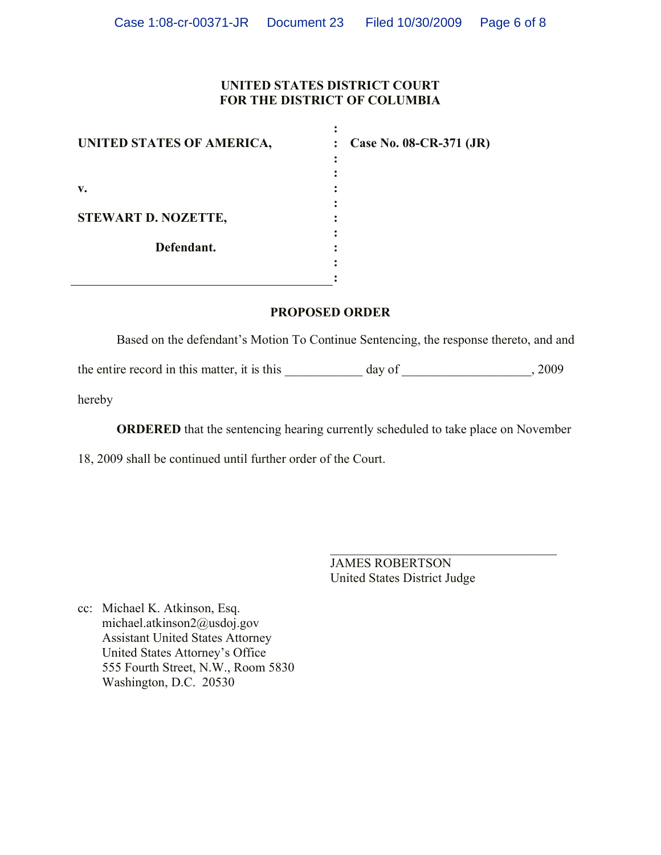### **UNITED STATES DISTRICT COURT FOR THE DISTRICT OF COLUMBIA**

**:**

| UNITED STATES OF AMERICA,  | : Case No. 08-CR-371 $(JR)$ |
|----------------------------|-----------------------------|
|                            |                             |
| v.                         |                             |
| <b>STEWART D. NOZETTE,</b> |                             |
| Defendant.                 |                             |
|                            |                             |

#### **PROPOSED ORDER**

Based on the defendant's Motion To Continue Sentencing, the response thereto, and and

the entire record in this matter, it is this \_\_\_\_\_\_\_\_\_\_\_ day of \_\_\_\_\_\_\_\_\_\_\_\_\_, 2009

hereby

**ORDERED** that the sentencing hearing currently scheduled to take place on November

18, 2009 shall be continued until further order of the Court.

JAMES ROBERTSON United States District Judge

 $\mathcal{L}_\text{max}$  , where  $\mathcal{L}_\text{max}$  and  $\mathcal{L}_\text{max}$  and  $\mathcal{L}_\text{max}$ 

cc: Michael K. Atkinson, Esq. michael.atkinson2@usdoj.gov Assistant United States Attorney United States Attorney's Office 555 Fourth Street, N.W., Room 5830 Washington, D.C. 20530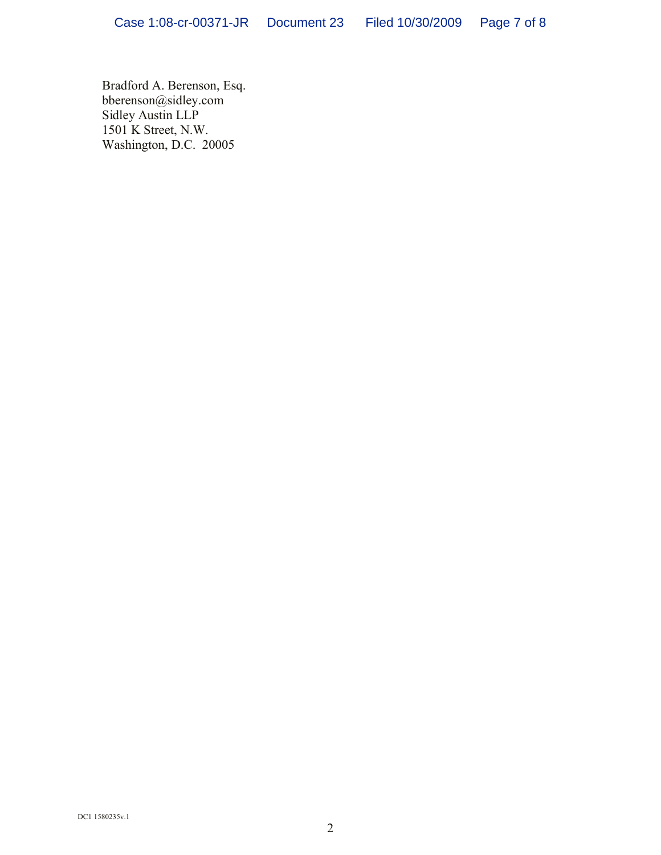Bradford A. Berenson, Esq. bberenson@sidley.com Sidley Austin LLP 1501 K Street, N.W. Washington, D.C. 20005